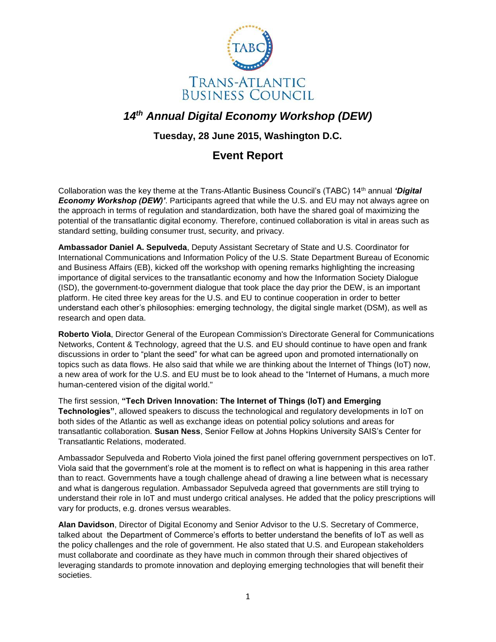

## *14th Annual Digital Economy Workshop (DEW)*

## **Tuesday, 28 June 2015, Washington D.C.**

## **Event Report**

Collaboration was the key theme at the Trans-Atlantic Business Council's (TABC) 14th annual *'Digital Economy Workshop (DEW)'*. Participants agreed that while the U.S. and EU may not always agree on the approach in terms of regulation and standardization, both have the shared goal of maximizing the potential of the transatlantic digital economy. Therefore, continued collaboration is vital in areas such as standard setting, building consumer trust, security, and privacy.

**Ambassador Daniel A. Sepulveda**, Deputy Assistant Secretary of State and U.S. Coordinator for International Communications and Information Policy of the U.S. State Department Bureau of Economic and Business Affairs (EB), kicked off the workshop with opening remarks highlighting the increasing importance of digital services to the transatlantic economy and how the Information Society Dialogue (ISD), the government-to-government dialogue that took place the day prior the DEW, is an important platform. He cited three key areas for the U.S. and EU to continue cooperation in order to better understand each other's philosophies: emerging technology, the digital single market (DSM), as well as research and open data.

**Roberto Viola**, Director General of the European Commission's Directorate General for Communications Networks, Content & Technology, agreed that the U.S. and EU should continue to have open and frank discussions in order to "plant the seed" for what can be agreed upon and promoted internationally on topics such as data flows. He also said that while we are thinking about the Internet of Things (IoT) now, a new area of work for the U.S. and EU must be to look ahead to the "Internet of Humans, a much more human-centered vision of the digital world."

The first session, **"Tech Driven Innovation: The Internet of Things (IoT) and Emerging Technologies"**, allowed speakers to discuss the technological and regulatory developments in IoT on both sides of the Atlantic as well as exchange ideas on potential policy solutions and areas for transatlantic collaboration. **Susan Ness**, Senior Fellow at Johns Hopkins University SAIS's Center for Transatlantic Relations, moderated.

Ambassador Sepulveda and Roberto Viola joined the first panel offering government perspectives on IoT. Viola said that the government's role at the moment is to reflect on what is happening in this area rather than to react. Governments have a tough challenge ahead of drawing a line between what is necessary and what is dangerous regulation. Ambassador Sepulveda agreed that governments are still trying to understand their role in IoT and must undergo critical analyses. He added that the policy prescriptions will vary for products, e.g. drones versus wearables.

**Alan Davidson**, Director of Digital Economy and Senior Advisor to the U.S. Secretary of Commerce, talked about the Department of Commerce's efforts to better understand the benefits of IoT as well as the policy challenges and the role of government. He also stated that U.S. and European stakeholders must collaborate and coordinate as they have much in common through their shared objectives of leveraging standards to promote innovation and deploying emerging technologies that will benefit their societies.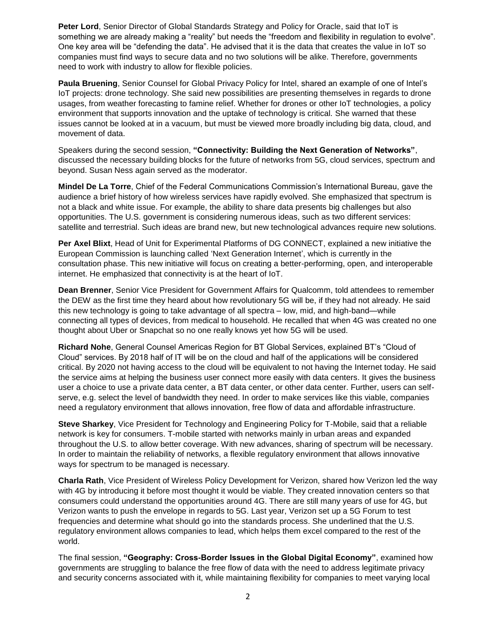**Peter Lord**, Senior Director of Global Standards Strategy and Policy for Oracle, said that IoT is something we are already making a "reality" but needs the "freedom and flexibility in regulation to evolve". One key area will be "defending the data". He advised that it is the data that creates the value in IoT so companies must find ways to secure data and no two solutions will be alike. Therefore, governments need to work with industry to allow for flexible policies.

**Paula Bruening**, Senior Counsel for Global Privacy Policy for Intel, shared an example of one of Intel's IoT projects: drone technology. She said new possibilities are presenting themselves in regards to drone usages, from weather forecasting to famine relief. Whether for drones or other IoT technologies, a policy environment that supports innovation and the uptake of technology is critical. She warned that these issues cannot be looked at in a vacuum, but must be viewed more broadly including big data, cloud, and movement of data.

Speakers during the second session, **"Connectivity: Building the Next Generation of Networks"**, discussed the necessary building blocks for the future of networks from 5G, cloud services, spectrum and beyond. Susan Ness again served as the moderator.

**Mindel De La Torre**, Chief of the Federal Communications Commission's International Bureau, gave the audience a brief history of how wireless services have rapidly evolved. She emphasized that spectrum is not a black and white issue. For example, the ability to share data presents big challenges but also opportunities. The U.S. government is considering numerous ideas, such as two different services: satellite and terrestrial. Such ideas are brand new, but new technological advances require new solutions.

**Per Axel Blixt**, Head of Unit for Experimental Platforms of DG CONNECT, explained a new initiative the European Commission is launching called 'Next Generation Internet', which is currently in the consultation phase. This new initiative will focus on creating a better-performing, open, and interoperable internet. He emphasized that connectivity is at the heart of IoT.

**Dean Brenner**, Senior Vice President for Government Affairs for Qualcomm, told attendees to remember the DEW as the first time they heard about how revolutionary 5G will be, if they had not already. He said this new technology is going to take advantage of all spectra – low, mid, and high-band—while connecting all types of devices, from medical to household. He recalled that when 4G was created no one thought about Uber or Snapchat so no one really knows yet how 5G will be used.

**Richard Nohe**, General Counsel Americas Region for BT Global Services, explained BT's "Cloud of Cloud" services. By 2018 half of IT will be on the cloud and half of the applications will be considered critical. By 2020 not having access to the cloud will be equivalent to not having the Internet today. He said the service aims at helping the business user connect more easily with data centers. It gives the business user a choice to use a private data center, a BT data center, or other data center. Further, users can selfserve, e.g. select the level of bandwidth they need. In order to make services like this viable, companies need a regulatory environment that allows innovation, free flow of data and affordable infrastructure.

**Steve Sharkey**, Vice President for Technology and Engineering Policy for T-Mobile, said that a reliable network is key for consumers. T-mobile started with networks mainly in urban areas and expanded throughout the U.S. to allow better coverage. With new advances, sharing of spectrum will be necessary. In order to maintain the reliability of networks, a flexible regulatory environment that allows innovative ways for spectrum to be managed is necessary.

**Charla Rath**, Vice President of Wireless Policy Development for Verizon, shared how Verizon led the way with 4G by introducing it before most thought it would be viable. They created innovation centers so that consumers could understand the opportunities around 4G. There are still many years of use for 4G, but Verizon wants to push the envelope in regards to 5G. Last year, Verizon set up a 5G Forum to test frequencies and determine what should go into the standards process. She underlined that the U.S. regulatory environment allows companies to lead, which helps them excel compared to the rest of the world.

The final session, **"Geography: Cross-Border Issues in the Global Digital Economy"**, examined how governments are struggling to balance the free flow of data with the need to address legitimate privacy and security concerns associated with it, while maintaining flexibility for companies to meet varying local